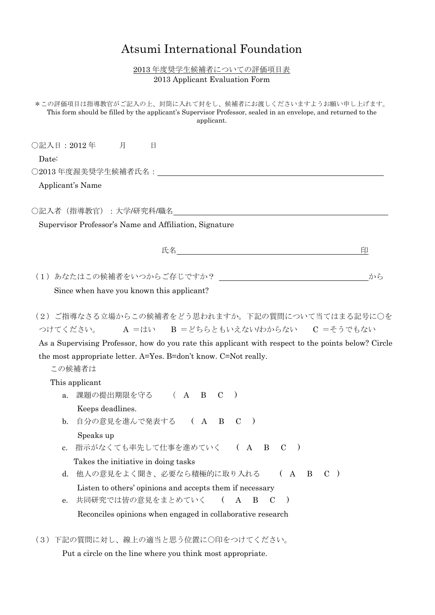## Atsumi International Foundation

## 2013 年度奨学生候補者についての評価項目表 2013 Applicant Evaluation Form

| *この評価項目は指導教官がご記入の上、封筒に入れて封をし、候補者にお渡しくださいますようお願い申し上げます。<br>This form should be filled by the applicant's Supervisor Professor, sealed in an envelope, and returned to the<br>applicant.                                                                                               |  |
|--------------------------------------------------------------------------------------------------------------------------------------------------------------------------------------------------------------------------------------------------------------------------------------|--|
| ○記入日:2012年 月 日                                                                                                                                                                                                                                                                       |  |
| Date:                                                                                                                                                                                                                                                                                |  |
|                                                                                                                                                                                                                                                                                      |  |
| Applicant's Name                                                                                                                                                                                                                                                                     |  |
| ○記入者(指導教官):大学/研究科/職名_________________                                                                                                                                                                                                                                                |  |
| Supervisor Professor's Name and Affiliation, Signature                                                                                                                                                                                                                               |  |
| 印                                                                                                                                                                                                                                                                                    |  |
|                                                                                                                                                                                                                                                                                      |  |
| から                                                                                                                                                                                                                                                                                   |  |
| Since when have you known this applicant?                                                                                                                                                                                                                                            |  |
| (2)ご指導なさる立場からこの候補者をどう思われますか。下記の質問について当てはまる記号に○を<br>つけてください。 A =はい B = どちらともいえない/わからない C = そうでもない<br>As a Supervising Professor, how do you rate this applicant with respect to the points below? Circle<br>the most appropriate letter. A=Yes. B=don't know. C=Not really.<br>この候補者は |  |
| This applicant                                                                                                                                                                                                                                                                       |  |
| 課題の提出期限を守る (A B C<br>$\rightarrow$<br>a.                                                                                                                                                                                                                                             |  |
| Keeps deadlines.                                                                                                                                                                                                                                                                     |  |
| 自分の意見を進んで発表する (ABC<br>$\mathbf{b}$ .                                                                                                                                                                                                                                                 |  |
| Speaks up                                                                                                                                                                                                                                                                            |  |
| 指示がなくても率先して仕事を進めていく (A B C<br>c.                                                                                                                                                                                                                                                     |  |
| Takes the initiative in doing tasks                                                                                                                                                                                                                                                  |  |
| 他人の意見をよく聞き、必要なら積極的に取り入れる<br>(A)<br>$\mathbf{B} \quad \mathbf{C}$ )<br>d.                                                                                                                                                                                                             |  |
| Listen to others' opinions and accepts them if necessary<br>A                                                                                                                                                                                                                        |  |
| 共同研究では皆の意見をまとめていく<br>$\left($<br>B<br>$\mathbf C$<br>$\rightarrow$<br>е.                                                                                                                                                                                                             |  |
| Reconciles opinions when engaged in collaborative research                                                                                                                                                                                                                           |  |

(3)下記の質問に対し、線上の適当と思う位置に○印をつけてください。

Put a circle on the line where you think most appropriate.